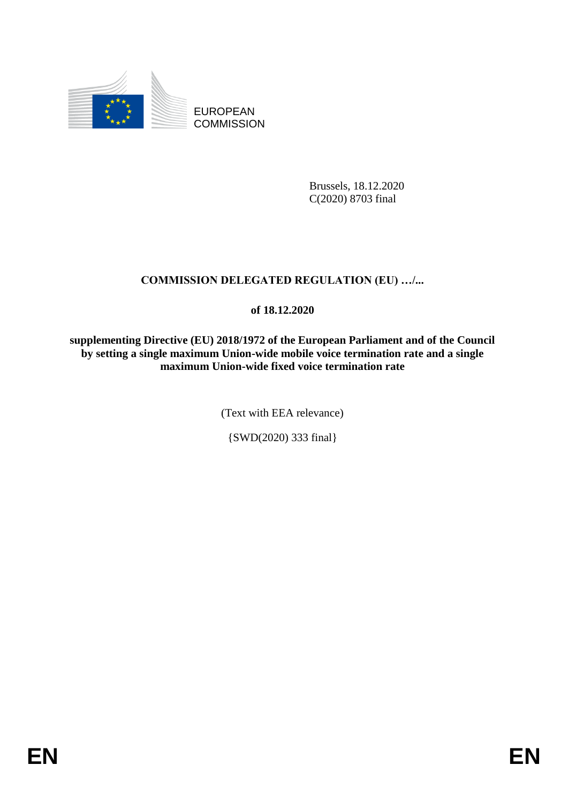

EUROPEAN **COMMISSION** 

> Brussels, 18.12.2020 C(2020) 8703 final

# **COMMISSION DELEGATED REGULATION (EU) …/...**

# **of 18.12.2020**

**supplementing Directive (EU) 2018/1972 of the European Parliament and of the Council by setting a single maximum Union-wide mobile voice termination rate and a single maximum Union-wide fixed voice termination rate**

(Text with EEA relevance)

{SWD(2020) 333 final}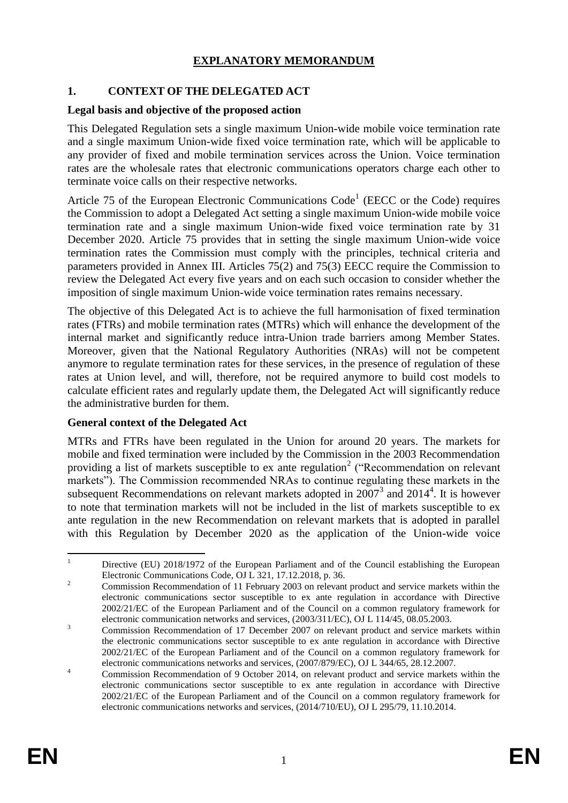## **EXPLANATORY MEMORANDUM**

## **1. CONTEXT OF THE DELEGATED ACT**

#### **Legal basis and objective of the proposed action**

This Delegated Regulation sets a single maximum Union-wide mobile voice termination rate and a single maximum Union-wide fixed voice termination rate, which will be applicable to any provider of fixed and mobile termination services across the Union. Voice termination rates are the wholesale rates that electronic communications operators charge each other to terminate voice calls on their respective networks.

Article 75 of the European Electronic Communications  $Code<sup>1</sup>$  (EECC or the Code) requires the Commission to adopt a Delegated Act setting a single maximum Union-wide mobile voice termination rate and a single maximum Union-wide fixed voice termination rate by 31 December 2020. Article 75 provides that in setting the single maximum Union-wide voice termination rates the Commission must comply with the principles, technical criteria and parameters provided in Annex III. Articles 75(2) and 75(3) EECC require the Commission to review the Delegated Act every five years and on each such occasion to consider whether the imposition of single maximum Union-wide voice termination rates remains necessary.

The objective of this Delegated Act is to achieve the full harmonisation of fixed termination rates (FTRs) and mobile termination rates (MTRs) which will enhance the development of the internal market and significantly reduce intra-Union trade barriers among Member States. Moreover, given that the National Regulatory Authorities (NRAs) will not be competent anymore to regulate termination rates for these services, in the presence of regulation of these rates at Union level, and will, therefore, not be required anymore to build cost models to calculate efficient rates and regularly update them, the Delegated Act will significantly reduce the administrative burden for them.

### **General context of the Delegated Act**

MTRs and FTRs have been regulated in the Union for around 20 years. The markets for mobile and fixed termination were included by the Commission in the 2003 Recommendation providing a list of markets susceptible to ex ante regulation<sup>2</sup> ("Recommendation on relevant markets"). The Commission recommended NRAs to continue regulating these markets in the subsequent Recommendations on relevant markets adopted in  $2007<sup>3</sup>$  and  $2014<sup>4</sup>$ . It is however to note that termination markets will not be included in the list of markets susceptible to ex ante regulation in the new Recommendation on relevant markets that is adopted in parallel with this Regulation by December 2020 as the application of the Union-wide voice

 $\mathbf{1}$ Directive (EU) 2018/1972 of the European Parliament and of the Council establishing the European Electronic Communications Code, OJ L 321, 17.12.2018, p. 36.

<sup>&</sup>lt;sup>2</sup> Commission Recommendation of 11 February 2003 on relevant product and service markets within the electronic communications sector susceptible to ex ante regulation in accordance with Directive 2002/21/EC of the European Parliament and of the Council on a common regulatory framework for electronic communication networks and services, (2003/311/EC), OJ L 114/45, 08.05.2003.

<sup>&</sup>lt;sup>3</sup> Commission Recommendation of 17 December 2007 on relevant product and service markets within the electronic communications sector susceptible to ex ante regulation in accordance with Directive 2002/21/EC of the European Parliament and of the Council on a common regulatory framework for electronic communications networks and services, (2007/879/EC), OJ L 344/65, 28.12.2007.

<sup>4</sup> Commission Recommendation of 9 October 2014, on relevant product and service markets within the electronic communications sector susceptible to ex ante regulation in accordance with Directive 2002/21/EC of the European Parliament and of the Council on a common regulatory framework for electronic communications networks and services, (2014/710/EU), OJ L 295/79, 11.10.2014.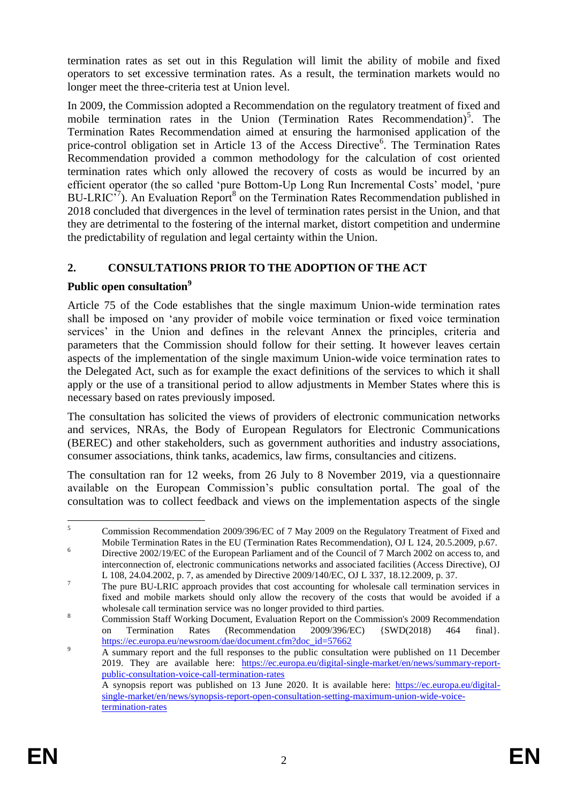termination rates as set out in this Regulation will limit the ability of mobile and fixed operators to set excessive termination rates. As a result, the termination markets would no longer meet the three-criteria test at Union level.

In 2009, the Commission adopted a Recommendation on the regulatory treatment of fixed and mobile termination rates in the Union (Termination Rates Recommendation)<sup>5</sup>. The Termination Rates Recommendation aimed at ensuring the harmonised application of the price-control obligation set in Article 13 of the Access Directive<sup>6</sup>. The Termination Rates Recommendation provided a common methodology for the calculation of cost oriented termination rates which only allowed the recovery of costs as would be incurred by an efficient operator (the so called 'pure Bottom-Up Long Run Incremental Costs' model, 'pure BU-LRIC<sup>77</sup>). An Evaluation Report<sup>8</sup> on the Termination Rates Recommendation published in 2018 concluded that divergences in the level of termination rates persist in the Union, and that they are detrimental to the fostering of the internal market, distort competition and undermine the predictability of regulation and legal certainty within the Union.

## **2. CONSULTATIONS PRIOR TO THE ADOPTION OF THE ACT**

## **Public open consultation<sup>9</sup>**

Article 75 of the Code establishes that the single maximum Union-wide termination rates shall be imposed on 'any provider of mobile voice termination or fixed voice termination services' in the Union and defines in the relevant Annex the principles, criteria and parameters that the Commission should follow for their setting. It however leaves certain aspects of the implementation of the single maximum Union-wide voice termination rates to the Delegated Act, such as for example the exact definitions of the services to which it shall apply or the use of a transitional period to allow adjustments in Member States where this is necessary based on rates previously imposed.

The consultation has solicited the views of providers of electronic communication networks and services, NRAs, the Body of European Regulators for Electronic Communications (BEREC) and other stakeholders, such as government authorities and industry associations, consumer associations, think tanks, academics, law firms, consultancies and citizens.

The consultation ran for 12 weeks, from 26 July to 8 November 2019, via a questionnaire available on the European Commission's public consultation portal. The goal of the consultation was to collect feedback and views on the implementation aspects of the single

 $\overline{5}$ <sup>5</sup> Commission Recommendation 2009/396/EC of 7 May 2009 on the Regulatory Treatment of Fixed and Mobile Termination Rates in the EU (Termination Rates Recommendation), OJ L 124, 20.5.2009, p.67.

<sup>6</sup> Directive 2002/19/EC of the European Parliament and of the Council of 7 March 2002 on access to, and interconnection of, electronic communications networks and associated facilities (Access Directive), OJ L 108, 24.04.2002, p. 7, as amended by Directive 2009/140/EC, OJ L 337, 18.12.2009, p. 37.

<sup>&</sup>lt;sup>7</sup> The pure BU-LRIC approach provides that cost accounting for wholesale call termination services in fixed and mobile markets should only allow the recovery of the costs that would be avoided if a wholesale call termination service was no longer provided to third parties.

<sup>&</sup>lt;sup>8</sup><br>Commission Staff Working Document, Evaluation Report on the Commission's 2009 Recommendation on Termination Rates (Recommendation 2009/396/EC) {SWD(2018) 464 final}. [https://ec.europa.eu/newsroom/dae/document.cfm?doc\\_id=57662](https://ec.europa.eu/newsroom/dae/document.cfm?doc_id=57662)

<sup>&</sup>lt;sup>9</sup> A summary report and the full responses to the public consultation were published on 11 December 2019. They are available here: [https://ec.europa.eu/digital-single-market/en/news/summary-report](https://ec.europa.eu/digital-single-market/en/news/summary-report-public-consultation-voice-call-termination-rates)[public-consultation-voice-call-termination-rates](https://ec.europa.eu/digital-single-market/en/news/summary-report-public-consultation-voice-call-termination-rates)

A synopsis report was published on 13 June 2020. It is available here: [https://ec.europa.eu/digital](https://ec.europa.eu/digital-single-market/en/news/synopsis-report-open-consultation-setting-maximum-union-wide-voice-termination-rates)[single-market/en/news/synopsis-report-open-consultation-setting-maximum-union-wide-voice](https://ec.europa.eu/digital-single-market/en/news/synopsis-report-open-consultation-setting-maximum-union-wide-voice-termination-rates)[termination-rates](https://ec.europa.eu/digital-single-market/en/news/synopsis-report-open-consultation-setting-maximum-union-wide-voice-termination-rates)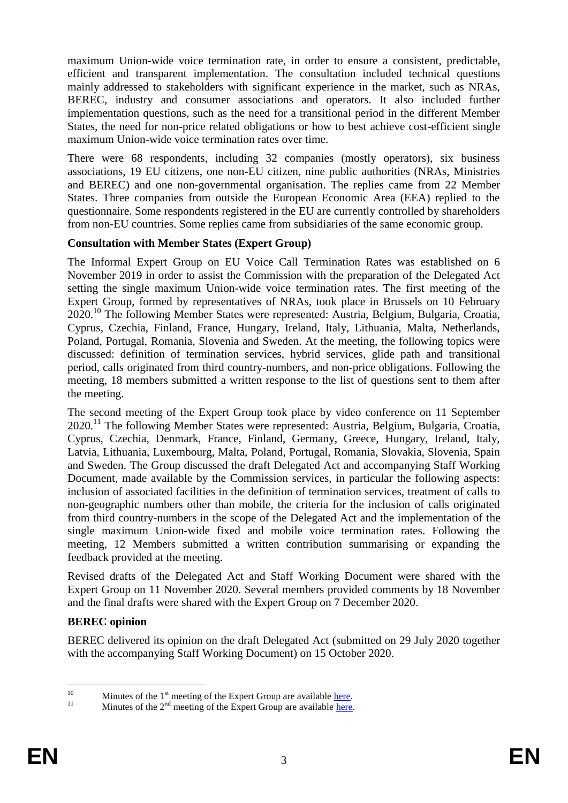maximum Union-wide voice termination rate, in order to ensure a consistent, predictable, efficient and transparent implementation. The consultation included technical questions mainly addressed to stakeholders with significant experience in the market, such as NRAs, BEREC, industry and consumer associations and operators. It also included further implementation questions, such as the need for a transitional period in the different Member States, the need for non-price related obligations or how to best achieve cost-efficient single maximum Union-wide voice termination rates over time.

There were 68 respondents, including 32 companies (mostly operators), six business associations, 19 EU citizens, one non-EU citizen, nine public authorities (NRAs, Ministries and BEREC) and one non-governmental organisation. The replies came from 22 Member States. Three companies from outside the European Economic Area (EEA) replied to the questionnaire. Some respondents registered in the EU are currently controlled by shareholders from non-EU countries. Some replies came from subsidiaries of the same economic group.

### **Consultation with Member States (Expert Group)**

The Informal Expert Group on EU Voice Call Termination Rates was established on 6 November 2019 in order to assist the Commission with the preparation of the Delegated Act setting the single maximum Union-wide voice termination rates. The first meeting of the Expert Group, formed by representatives of NRAs, took place in Brussels on 10 February 2020.<sup>10</sup> The following Member States were represented: Austria, Belgium, Bulgaria, Croatia, Cyprus, Czechia, Finland, France, Hungary, Ireland, Italy, Lithuania, Malta, Netherlands, Poland, Portugal, Romania, Slovenia and Sweden. At the meeting, the following topics were discussed: definition of termination services, hybrid services, glide path and transitional period, calls originated from third country-numbers, and non-price obligations. Following the meeting, 18 members submitted a written response to the list of questions sent to them after the meeting.

The second meeting of the Expert Group took place by video conference on 11 September 2020.<sup>11</sup> The following Member States were represented: Austria, Belgium, Bulgaria, Croatia, Cyprus, Czechia, Denmark, France, Finland, Germany, Greece, Hungary, Ireland, Italy, Latvia, Lithuania, Luxembourg, Malta, Poland, Portugal, Romania, Slovakia, Slovenia, Spain and Sweden. The Group discussed the draft Delegated Act and accompanying Staff Working Document, made available by the Commission services, in particular the following aspects: inclusion of associated facilities in the definition of termination services, treatment of calls to non-geographic numbers other than mobile, the criteria for the inclusion of calls originated from third country-numbers in the scope of the Delegated Act and the implementation of the single maximum Union-wide fixed and mobile voice termination rates. Following the meeting, 12 Members submitted a written contribution summarising or expanding the feedback provided at the meeting.

Revised drafts of the Delegated Act and Staff Working Document were shared with the Expert Group on 11 November 2020. Several members provided comments by 18 November and the final drafts were shared with the Expert Group on 7 December 2020.

## **BEREC opinion**

BEREC delivered its opinion on the draft Delegated Act (submitted on 29 July 2020 together with the accompanying Staff Working Document) on 15 October 2020.

 $10$ <sup>10</sup> Minutes of the 1<sup>st</sup> meeting of the Expert Group are available [here.](https://ec.europa.eu/transparency/regexpert/index.cfm?do=groupDetail.groupMeeting&meetingId=19890)

 $\frac{1}{2}$  Minutes of the  $2<sup>nd</sup>$  meeting of the Expert Group are available [here.](https://ec.europa.eu/transparency/regexpert/index.cfm?do=groupDetail.groupMeetingDoc&docid=44552)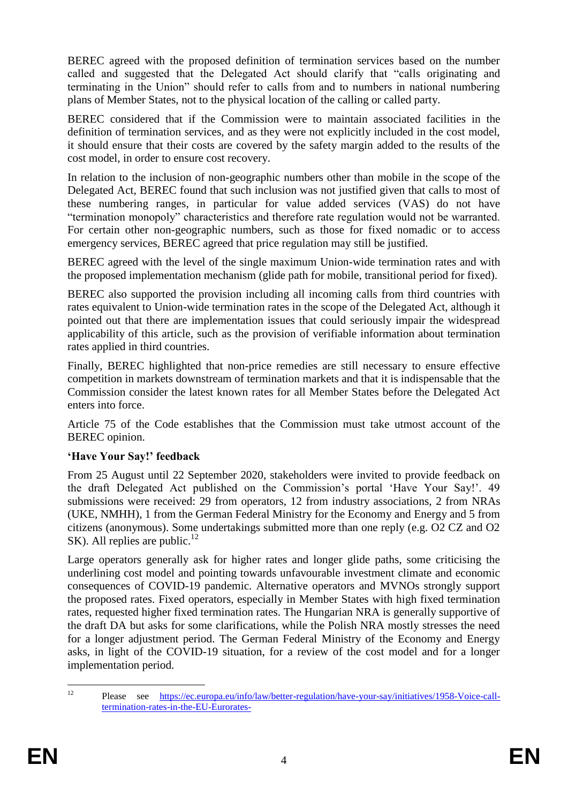BEREC agreed with the proposed definition of termination services based on the number called and suggested that the Delegated Act should clarify that "calls originating and terminating in the Union" should refer to calls from and to numbers in national numbering plans of Member States, not to the physical location of the calling or called party.

BEREC considered that if the Commission were to maintain associated facilities in the definition of termination services, and as they were not explicitly included in the cost model, it should ensure that their costs are covered by the safety margin added to the results of the cost model, in order to ensure cost recovery.

In relation to the inclusion of non-geographic numbers other than mobile in the scope of the Delegated Act, BEREC found that such inclusion was not justified given that calls to most of these numbering ranges, in particular for value added services (VAS) do not have "termination monopoly" characteristics and therefore rate regulation would not be warranted. For certain other non-geographic numbers, such as those for fixed nomadic or to access emergency services, BEREC agreed that price regulation may still be justified.

BEREC agreed with the level of the single maximum Union-wide termination rates and with the proposed implementation mechanism (glide path for mobile, transitional period for fixed).

BEREC also supported the provision including all incoming calls from third countries with rates equivalent to Union-wide termination rates in the scope of the Delegated Act, although it pointed out that there are implementation issues that could seriously impair the widespread applicability of this article, such as the provision of verifiable information about termination rates applied in third countries.

Finally, BEREC highlighted that non-price remedies are still necessary to ensure effective competition in markets downstream of termination markets and that it is indispensable that the Commission consider the latest known rates for all Member States before the Delegated Act enters into force.

Article 75 of the Code establishes that the Commission must take utmost account of the BEREC opinion.

### **'Have Your Say!' feedback**

From 25 August until 22 September 2020, stakeholders were invited to provide feedback on the draft Delegated Act published on the Commission's portal 'Have Your Say!'. 49 submissions were received: 29 from operators, 12 from industry associations, 2 from NRAs (UKE, NMHH), 1 from the German Federal Ministry for the Economy and Energy and 5 from citizens (anonymous). Some undertakings submitted more than one reply (e.g. O2 CZ and O2 SK). All replies are public.<sup>12</sup>

Large operators generally ask for higher rates and longer glide paths, some criticising the underlining cost model and pointing towards unfavourable investment climate and economic consequences of COVID-19 pandemic. Alternative operators and MVNOs strongly support the proposed rates. Fixed operators, especially in Member States with high fixed termination rates, requested higher fixed termination rates. The Hungarian NRA is generally supportive of the draft DA but asks for some clarifications, while the Polish NRA mostly stresses the need for a longer adjustment period. The German Federal Ministry of the Economy and Energy asks, in light of the COVID-19 situation, for a review of the cost model and for a longer implementation period.

 $12$ Please see <u>https://ec.europa.eu/info/law/better-regulation/have-your-say/initiatives/1958</u>-Voice-call[termination-rates-in-the-EU-Eurorates-](https://ec.europa.eu/info/law/better-regulation/have-your-say/initiatives/1958-Voice-call-termination-rates-in-the-EU-Eurorates-)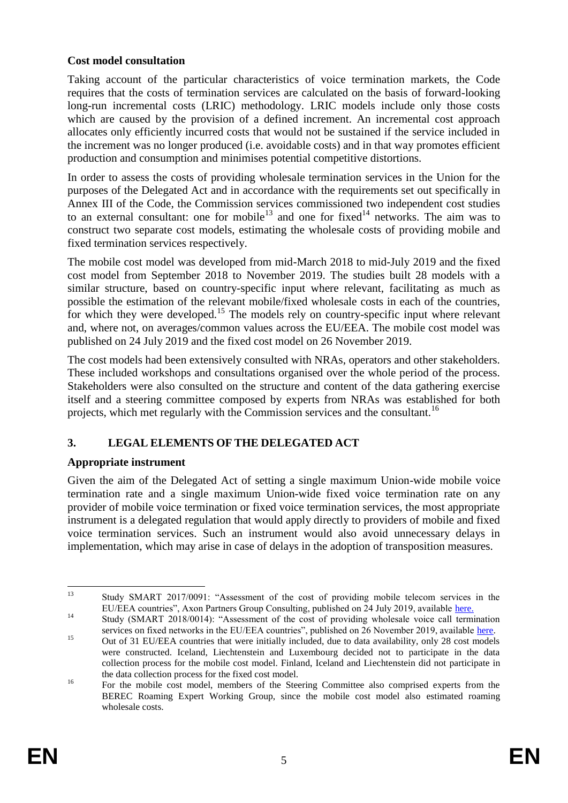### **Cost model consultation**

Taking account of the particular characteristics of voice termination markets, the Code requires that the costs of termination services are calculated on the basis of forward-looking long-run incremental costs (LRIC) methodology. LRIC models include only those costs which are caused by the provision of a defined increment. An incremental cost approach allocates only efficiently incurred costs that would not be sustained if the service included in the increment was no longer produced (i.e. avoidable costs) and in that way promotes efficient production and consumption and minimises potential competitive distortions.

In order to assess the costs of providing wholesale termination services in the Union for the purposes of the Delegated Act and in accordance with the requirements set out specifically in Annex III of the Code, the Commission services commissioned two independent cost studies to an external consultant: one for mobile<sup>13</sup> and one for fixed<sup>14</sup> networks. The aim was to construct two separate cost models, estimating the wholesale costs of providing mobile and fixed termination services respectively.

The mobile cost model was developed from mid-March 2018 to mid-July 2019 and the fixed cost model from September 2018 to November 2019. The studies built 28 models with a similar structure, based on country-specific input where relevant, facilitating as much as possible the estimation of the relevant mobile/fixed wholesale costs in each of the countries, for which they were developed.<sup>15</sup> The models rely on country-specific input where relevant and, where not, on averages/common values across the EU/EEA. The mobile cost model was published on 24 July 2019 and the fixed cost model on 26 November 2019.

The cost models had been extensively consulted with NRAs, operators and other stakeholders. These included workshops and consultations organised over the whole period of the process. Stakeholders were also consulted on the structure and content of the data gathering exercise itself and a steering committee composed by experts from NRAs was established for both projects, which met regularly with the Commission services and the consultant.<sup>16</sup>

### **3. LEGAL ELEMENTS OF THE DELEGATED ACT**

### **Appropriate instrument**

Given the aim of the Delegated Act of setting a single maximum Union-wide mobile voice termination rate and a single maximum Union-wide fixed voice termination rate on any provider of mobile voice termination or fixed voice termination services, the most appropriate instrument is a delegated regulation that would apply directly to providers of mobile and fixed voice termination services. Such an instrument would also avoid unnecessary delays in implementation, which may arise in case of delays in the adoption of transposition measures.

 $13$ <sup>13</sup> Study SMART 2017/0091: "Assessment of the cost of providing mobile telecom services in the EU/EEA countries", Axon Partners Group Consulting, published on 24 July 2019, available [here.](https://ec.europa.eu/digital-single-market/en/news/finalisation-mobile-cost-model-roaming-and-delegated-act-single-eu-wide-mobile-voice-call)

<sup>&</sup>lt;sup>14</sup> Study (SMART 2018/0014): "Assessment of the cost of providing wholesale voice call termination services on fixed networks in the EU/EEA countries", published on 26 November 2019, available [here.](https://ec.europa.eu/digital-single-market/en/news/finalisation-fixed-cost-model-delegated-act-single-eu-wide-fixed-voice-call-termination)

<sup>&</sup>lt;sup>15</sup> Out of 31 EU/EEA countries that were initially included, due to data availability, only 28 cost models were constructed. Iceland, Liechtenstein and Luxembourg decided not to participate in the data collection process for the mobile cost model. Finland, Iceland and Liechtenstein did not participate in the data collection process for the fixed cost model.

<sup>&</sup>lt;sup>16</sup> For the mobile cost model, members of the Steering Committee also comprised experts from the BEREC Roaming Expert Working Group, since the mobile cost model also estimated roaming wholesale costs.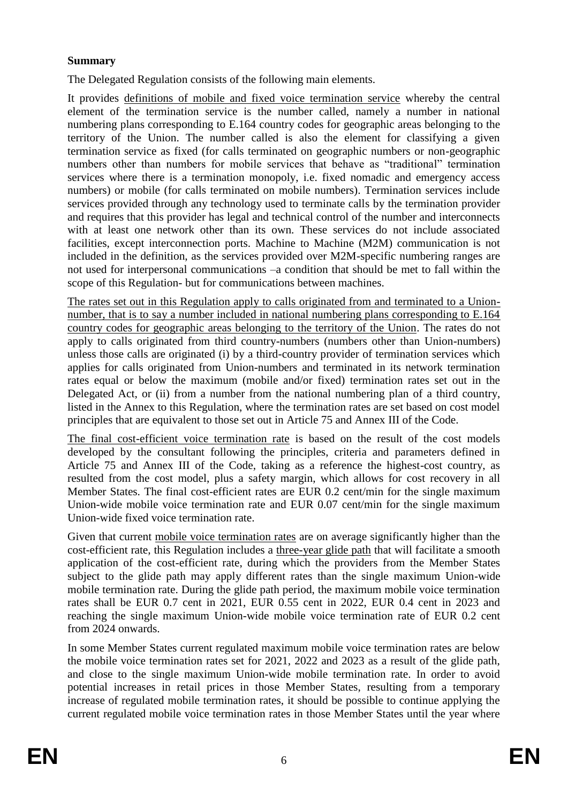### **Summary**

The Delegated Regulation consists of the following main elements.

It provides definitions of mobile and fixed voice termination service whereby the central element of the termination service is the number called, namely a number in national numbering plans corresponding to E.164 country codes for geographic areas belonging to the territory of the Union. The number called is also the element for classifying a given termination service as fixed (for calls terminated on geographic numbers or non-geographic numbers other than numbers for mobile services that behave as "traditional" termination services where there is a termination monopoly, i.e. fixed nomadic and emergency access numbers) or mobile (for calls terminated on mobile numbers). Termination services include services provided through any technology used to terminate calls by the termination provider and requires that this provider has legal and technical control of the number and interconnects with at least one network other than its own. These services do not include associated facilities, except interconnection ports. Machine to Machine (M2M) communication is not included in the definition, as the services provided over M2M-specific numbering ranges are not used for interpersonal communications –a condition that should be met to fall within the scope of this Regulation- but for communications between machines.

The rates set out in this Regulation apply to calls originated from and terminated to a Unionnumber, that is to say a number included in national numbering plans corresponding to E.164 country codes for geographic areas belonging to the territory of the Union. The rates do not apply to calls originated from third country-numbers (numbers other than Union-numbers) unless those calls are originated (i) by a third-country provider of termination services which applies for calls originated from Union-numbers and terminated in its network termination rates equal or below the maximum (mobile and/or fixed) termination rates set out in the Delegated Act, or (ii) from a number from the national numbering plan of a third country, listed in the Annex to this Regulation, where the termination rates are set based on cost model principles that are equivalent to those set out in Article 75 and Annex III of the Code.

The final cost-efficient voice termination rate is based on the result of the cost models developed by the consultant following the principles, criteria and parameters defined in Article 75 and Annex III of the Code, taking as a reference the highest-cost country, as resulted from the cost model, plus a safety margin, which allows for cost recovery in all Member States. The final cost-efficient rates are EUR 0.2 cent/min for the single maximum Union-wide mobile voice termination rate and EUR 0.07 cent/min for the single maximum Union-wide fixed voice termination rate.

Given that current mobile voice termination rates are on average significantly higher than the cost-efficient rate, this Regulation includes a three-year glide path that will facilitate a smooth application of the cost-efficient rate, during which the providers from the Member States subject to the glide path may apply different rates than the single maximum Union-wide mobile termination rate. During the glide path period, the maximum mobile voice termination rates shall be EUR 0.7 cent in 2021, EUR 0.55 cent in 2022, EUR 0.4 cent in 2023 and reaching the single maximum Union-wide mobile voice termination rate of EUR 0.2 cent from 2024 onwards.

In some Member States current regulated maximum mobile voice termination rates are below the mobile voice termination rates set for 2021, 2022 and 2023 as a result of the glide path, and close to the single maximum Union-wide mobile termination rate. In order to avoid potential increases in retail prices in those Member States, resulting from a temporary increase of regulated mobile termination rates, it should be possible to continue applying the current regulated mobile voice termination rates in those Member States until the year where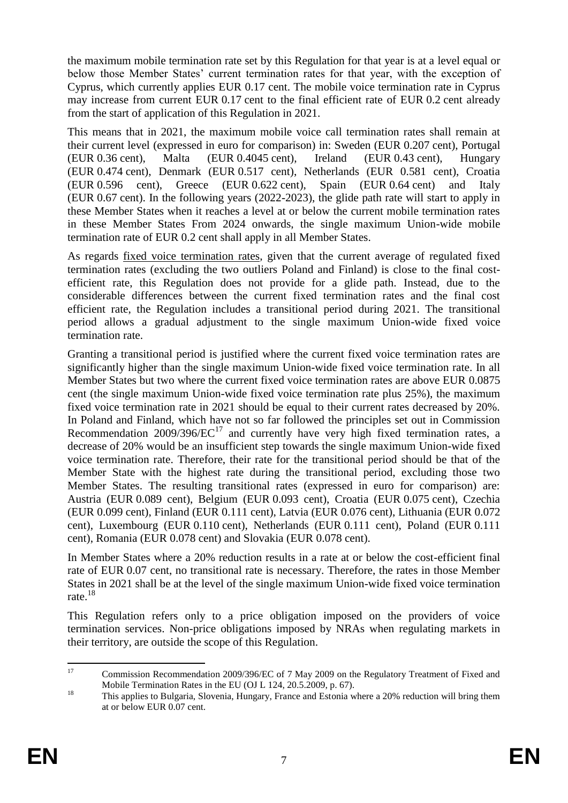the maximum mobile termination rate set by this Regulation for that year is at a level equal or below those Member States' current termination rates for that year, with the exception of Cyprus, which currently applies EUR 0.17 cent. The mobile voice termination rate in Cyprus may increase from current EUR 0.17 cent to the final efficient rate of EUR 0.2 cent already from the start of application of this Regulation in 2021.

This means that in 2021, the maximum mobile voice call termination rates shall remain at their current level (expressed in euro for comparison) in: Sweden (EUR 0.207 cent), Portugal (EUR 0.36 cent), Malta (EUR 0.4045 cent), Ireland (EUR 0.43 cent), Hungary (EUR 0.474 cent), Denmark (EUR 0.517 cent), Netherlands (EUR 0.581 cent), Croatia (EUR 0.596 cent), Greece (EUR 0.622 cent), Spain (EUR 0.64 cent) and Italy (EUR 0.67 cent). In the following years (2022-2023), the glide path rate will start to apply in these Member States when it reaches a level at or below the current mobile termination rates in these Member States From 2024 onwards, the single maximum Union-wide mobile termination rate of EUR 0.2 cent shall apply in all Member States.

As regards fixed voice termination rates, given that the current average of regulated fixed termination rates (excluding the two outliers Poland and Finland) is close to the final costefficient rate, this Regulation does not provide for a glide path. Instead, due to the considerable differences between the current fixed termination rates and the final cost efficient rate, the Regulation includes a transitional period during 2021. The transitional period allows a gradual adjustment to the single maximum Union-wide fixed voice termination rate.

Granting a transitional period is justified where the current fixed voice termination rates are significantly higher than the single maximum Union-wide fixed voice termination rate. In all Member States but two where the current fixed voice termination rates are above EUR 0.0875 cent (the single maximum Union-wide fixed voice termination rate plus 25%), the maximum fixed voice termination rate in 2021 should be equal to their current rates decreased by 20%. In Poland and Finland, which have not so far followed the principles set out in Commission Recommendation  $2009/396/EC^{17}$  and currently have very high fixed termination rates, a decrease of 20% would be an insufficient step towards the single maximum Union-wide fixed voice termination rate. Therefore, their rate for the transitional period should be that of the Member State with the highest rate during the transitional period, excluding those two Member States. The resulting transitional rates (expressed in euro for comparison) are: Austria (EUR 0.089 cent), Belgium (EUR 0.093 cent), Croatia (EUR 0.075 cent), Czechia (EUR 0.099 cent), Finland (EUR 0.111 cent), Latvia (EUR 0.076 cent), Lithuania (EUR 0.072 cent), Luxembourg (EUR 0.110 cent), Netherlands (EUR 0.111 cent), Poland (EUR 0.111 cent), Romania (EUR 0.078 cent) and Slovakia (EUR 0.078 cent).

In Member States where a 20% reduction results in a rate at or below the cost-efficient final rate of EUR 0.07 cent, no transitional rate is necessary. Therefore, the rates in those Member States in 2021 shall be at the level of the single maximum Union-wide fixed voice termination rate.<sup>18</sup>

This Regulation refers only to a price obligation imposed on the providers of voice termination services. Non-price obligations imposed by NRAs when regulating markets in their territory, are outside the scope of this Regulation.

 $17$ <sup>17</sup> Commission Recommendation 2009/396/EC of 7 May 2009 on the Regulatory Treatment of Fixed and Mobile Termination Rates in the EU (OJ L 124, 20.5.2009, p. 67).

<sup>&</sup>lt;sup>18</sup> This applies to Bulgaria, Slovenia, Hungary, France and Estonia where a 20% reduction will bring them at or below EUR 0.07 cent.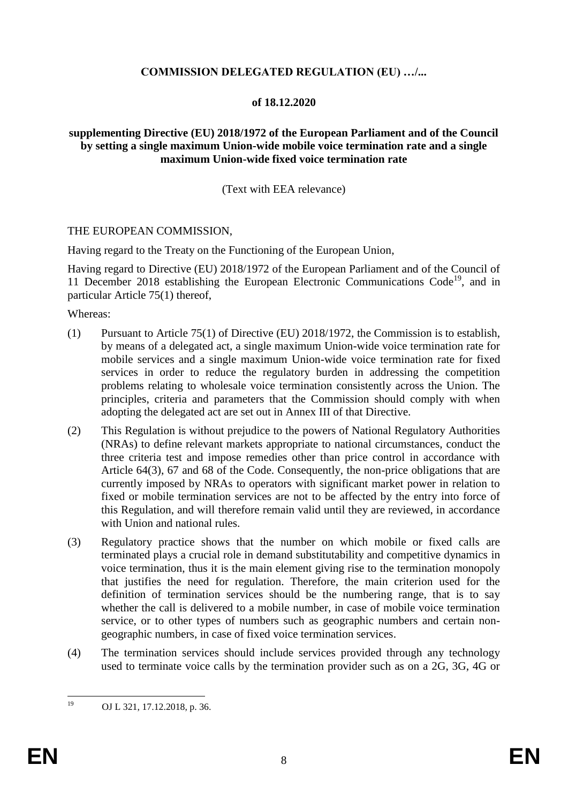### **COMMISSION DELEGATED REGULATION (EU) …/...**

#### **of 18.12.2020**

#### **supplementing Directive (EU) 2018/1972 of the European Parliament and of the Council by setting a single maximum Union-wide mobile voice termination rate and a single maximum Union-wide fixed voice termination rate**

#### (Text with EEA relevance)

#### THE EUROPEAN COMMISSION,

Having regard to the Treaty on the Functioning of the European Union,

Having regard to Directive (EU) 2018/1972 of the European Parliament and of the Council of 11 December 2018 establishing the European Electronic Communications Code<sup>19</sup>, and in particular Article 75(1) thereof,

Whereas:

- (1) Pursuant to Article 75(1) of Directive (EU) 2018/1972, the Commission is to establish, by means of a delegated act, a single maximum Union-wide voice termination rate for mobile services and a single maximum Union-wide voice termination rate for fixed services in order to reduce the regulatory burden in addressing the competition problems relating to wholesale voice termination consistently across the Union. The principles, criteria and parameters that the Commission should comply with when adopting the delegated act are set out in Annex III of that Directive.
- (2) This Regulation is without prejudice to the powers of National Regulatory Authorities (NRAs) to define relevant markets appropriate to national circumstances, conduct the three criteria test and impose remedies other than price control in accordance with Article 64(3), 67 and 68 of the Code. Consequently, the non-price obligations that are currently imposed by NRAs to operators with significant market power in relation to fixed or mobile termination services are not to be affected by the entry into force of this Regulation, and will therefore remain valid until they are reviewed, in accordance with Union and national rules.
- (3) Regulatory practice shows that the number on which mobile or fixed calls are terminated plays a crucial role in demand substitutability and competitive dynamics in voice termination, thus it is the main element giving rise to the termination monopoly that justifies the need for regulation. Therefore, the main criterion used for the definition of termination services should be the numbering range, that is to say whether the call is delivered to a mobile number, in case of mobile voice termination service, or to other types of numbers such as geographic numbers and certain nongeographic numbers, in case of fixed voice termination services.
- (4) The termination services should include services provided through any technology used to terminate voice calls by the termination provider such as on a 2G, 3G, 4G or

 $19$ <sup>19</sup> OJ L 321, 17.12.2018, p. 36.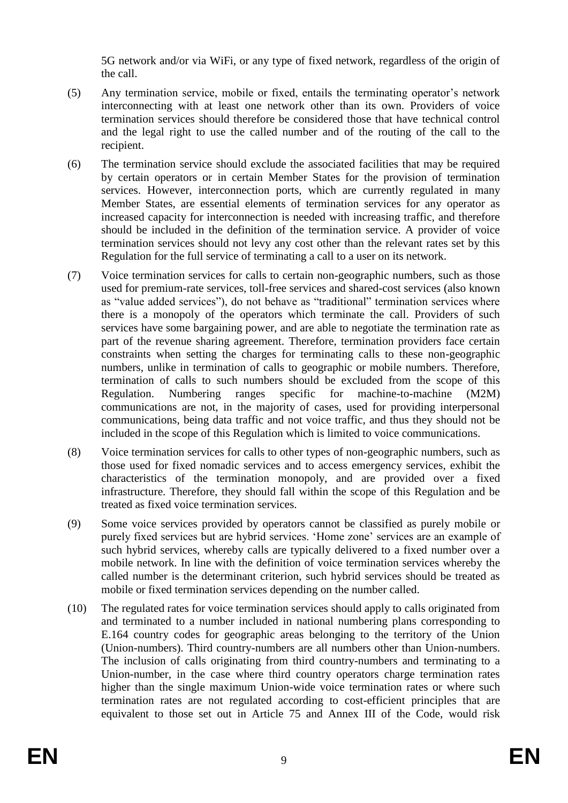5G network and/or via WiFi, or any type of fixed network, regardless of the origin of the call.

- (5) Any termination service, mobile or fixed, entails the terminating operator's network interconnecting with at least one network other than its own. Providers of voice termination services should therefore be considered those that have technical control and the legal right to use the called number and of the routing of the call to the recipient.
- (6) The termination service should exclude the associated facilities that may be required by certain operators or in certain Member States for the provision of termination services. However, interconnection ports, which are currently regulated in many Member States, are essential elements of termination services for any operator as increased capacity for interconnection is needed with increasing traffic, and therefore should be included in the definition of the termination service. A provider of voice termination services should not levy any cost other than the relevant rates set by this Regulation for the full service of terminating a call to a user on its network.
- (7) Voice termination services for calls to certain non-geographic numbers, such as those used for premium-rate services, toll-free services and shared-cost services (also known as "value added services"), do not behave as "traditional" termination services where there is a monopoly of the operators which terminate the call. Providers of such services have some bargaining power, and are able to negotiate the termination rate as part of the revenue sharing agreement. Therefore, termination providers face certain constraints when setting the charges for terminating calls to these non-geographic numbers, unlike in termination of calls to geographic or mobile numbers. Therefore, termination of calls to such numbers should be excluded from the scope of this Regulation. Numbering ranges specific for machine-to-machine (M2M) communications are not, in the majority of cases, used for providing interpersonal communications, being data traffic and not voice traffic, and thus they should not be included in the scope of this Regulation which is limited to voice communications.
- (8) Voice termination services for calls to other types of non-geographic numbers, such as those used for fixed nomadic services and to access emergency services, exhibit the characteristics of the termination monopoly, and are provided over a fixed infrastructure. Therefore, they should fall within the scope of this Regulation and be treated as fixed voice termination services.
- (9) Some voice services provided by operators cannot be classified as purely mobile or purely fixed services but are hybrid services. 'Home zone' services are an example of such hybrid services, whereby calls are typically delivered to a fixed number over a mobile network. In line with the definition of voice termination services whereby the called number is the determinant criterion, such hybrid services should be treated as mobile or fixed termination services depending on the number called.
- (10) The regulated rates for voice termination services should apply to calls originated from and terminated to a number included in national numbering plans corresponding to E.164 country codes for geographic areas belonging to the territory of the Union (Union-numbers). Third country-numbers are all numbers other than Union-numbers. The inclusion of calls originating from third country-numbers and terminating to a Union-number, in the case where third country operators charge termination rates higher than the single maximum Union-wide voice termination rates or where such termination rates are not regulated according to cost-efficient principles that are equivalent to those set out in Article 75 and Annex III of the Code, would risk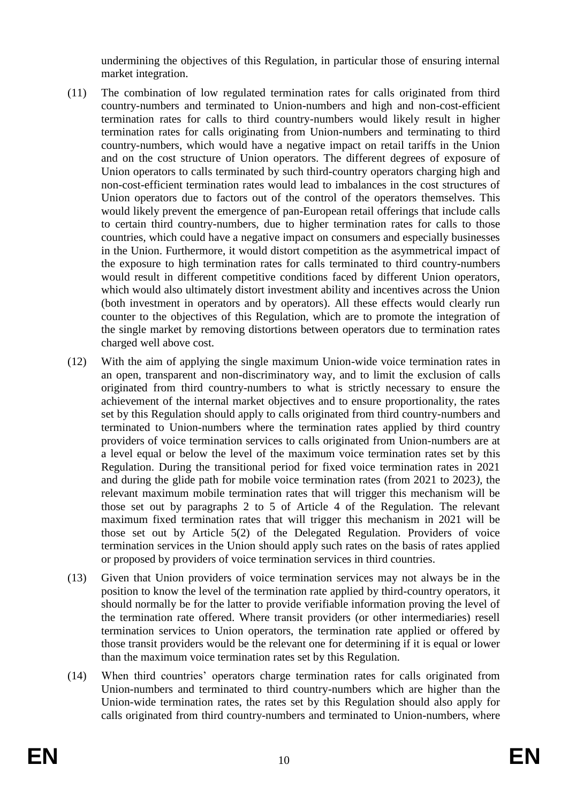undermining the objectives of this Regulation, in particular those of ensuring internal market integration.

- (11) The combination of low regulated termination rates for calls originated from third country-numbers and terminated to Union-numbers and high and non-cost-efficient termination rates for calls to third country-numbers would likely result in higher termination rates for calls originating from Union-numbers and terminating to third country-numbers, which would have a negative impact on retail tariffs in the Union and on the cost structure of Union operators. The different degrees of exposure of Union operators to calls terminated by such third-country operators charging high and non-cost-efficient termination rates would lead to imbalances in the cost structures of Union operators due to factors out of the control of the operators themselves. This would likely prevent the emergence of pan-European retail offerings that include calls to certain third country-numbers, due to higher termination rates for calls to those countries, which could have a negative impact on consumers and especially businesses in the Union. Furthermore, it would distort competition as the asymmetrical impact of the exposure to high termination rates for calls terminated to third country-numbers would result in different competitive conditions faced by different Union operators, which would also ultimately distort investment ability and incentives across the Union (both investment in operators and by operators). All these effects would clearly run counter to the objectives of this Regulation, which are to promote the integration of the single market by removing distortions between operators due to termination rates charged well above cost.
- (12) With the aim of applying the single maximum Union-wide voice termination rates in an open, transparent and non-discriminatory way, and to limit the exclusion of calls originated from third country-numbers to what is strictly necessary to ensure the achievement of the internal market objectives and to ensure proportionality, the rates set by this Regulation should apply to calls originated from third country-numbers and terminated to Union-numbers where the termination rates applied by third country providers of voice termination services to calls originated from Union-numbers are at a level equal or below the level of the maximum voice termination rates set by this Regulation. During the transitional period for fixed voice termination rates in 2021 and during the glide path for mobile voice termination rates (from 2021 to 2023*),* the relevant maximum mobile termination rates that will trigger this mechanism will be those set out by paragraphs 2 to 5 of Article 4 of the Regulation. The relevant maximum fixed termination rates that will trigger this mechanism in 2021 will be those set out by Article 5(2) of the Delegated Regulation. Providers of voice termination services in the Union should apply such rates on the basis of rates applied or proposed by providers of voice termination services in third countries.
- (13) Given that Union providers of voice termination services may not always be in the position to know the level of the termination rate applied by third-country operators, it should normally be for the latter to provide verifiable information proving the level of the termination rate offered. Where transit providers (or other intermediaries) resell termination services to Union operators, the termination rate applied or offered by those transit providers would be the relevant one for determining if it is equal or lower than the maximum voice termination rates set by this Regulation.
- (14) When third countries' operators charge termination rates for calls originated from Union-numbers and terminated to third country-numbers which are higher than the Union-wide termination rates, the rates set by this Regulation should also apply for calls originated from third country-numbers and terminated to Union-numbers, where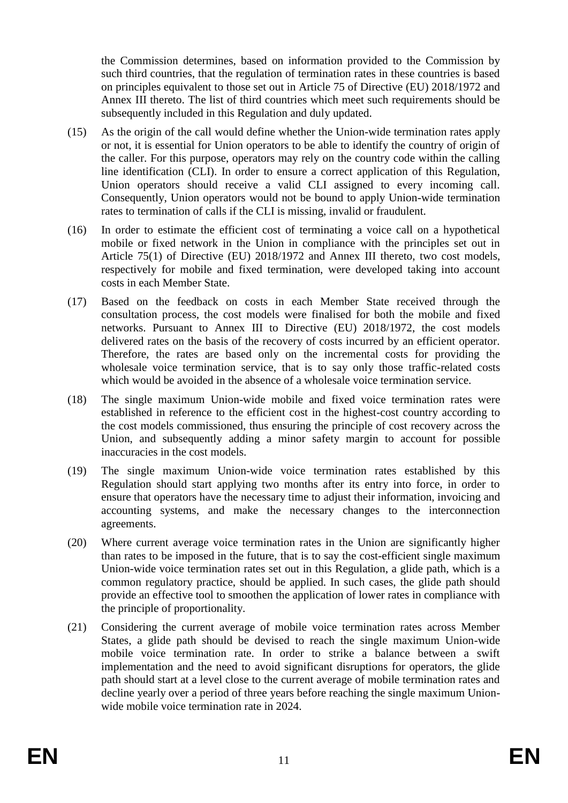the Commission determines, based on information provided to the Commission by such third countries, that the regulation of termination rates in these countries is based on principles equivalent to those set out in Article 75 of Directive (EU) 2018/1972 and Annex III thereto. The list of third countries which meet such requirements should be subsequently included in this Regulation and duly updated.

- (15) As the origin of the call would define whether the Union-wide termination rates apply or not, it is essential for Union operators to be able to identify the country of origin of the caller. For this purpose, operators may rely on the country code within the calling line identification (CLI). In order to ensure a correct application of this Regulation, Union operators should receive a valid CLI assigned to every incoming call. Consequently, Union operators would not be bound to apply Union-wide termination rates to termination of calls if the CLI is missing, invalid or fraudulent.
- (16) In order to estimate the efficient cost of terminating a voice call on a hypothetical mobile or fixed network in the Union in compliance with the principles set out in Article 75(1) of Directive (EU) 2018/1972 and Annex III thereto, two cost models, respectively for mobile and fixed termination, were developed taking into account costs in each Member State.
- (17) Based on the feedback on costs in each Member State received through the consultation process, the cost models were finalised for both the mobile and fixed networks. Pursuant to Annex III to Directive (EU) 2018/1972, the cost models delivered rates on the basis of the recovery of costs incurred by an efficient operator. Therefore, the rates are based only on the incremental costs for providing the wholesale voice termination service, that is to say only those traffic-related costs which would be avoided in the absence of a wholesale voice termination service.
- (18) The single maximum Union-wide mobile and fixed voice termination rates were established in reference to the efficient cost in the highest-cost country according to the cost models commissioned, thus ensuring the principle of cost recovery across the Union, and subsequently adding a minor safety margin to account for possible inaccuracies in the cost models.
- (19) The single maximum Union-wide voice termination rates established by this Regulation should start applying two months after its entry into force, in order to ensure that operators have the necessary time to adjust their information, invoicing and accounting systems, and make the necessary changes to the interconnection agreements.
- (20) Where current average voice termination rates in the Union are significantly higher than rates to be imposed in the future, that is to say the cost-efficient single maximum Union-wide voice termination rates set out in this Regulation, a glide path, which is a common regulatory practice, should be applied. In such cases, the glide path should provide an effective tool to smoothen the application of lower rates in compliance with the principle of proportionality.
- (21) Considering the current average of mobile voice termination rates across Member States, a glide path should be devised to reach the single maximum Union-wide mobile voice termination rate. In order to strike a balance between a swift implementation and the need to avoid significant disruptions for operators, the glide path should start at a level close to the current average of mobile termination rates and decline yearly over a period of three years before reaching the single maximum Unionwide mobile voice termination rate in 2024.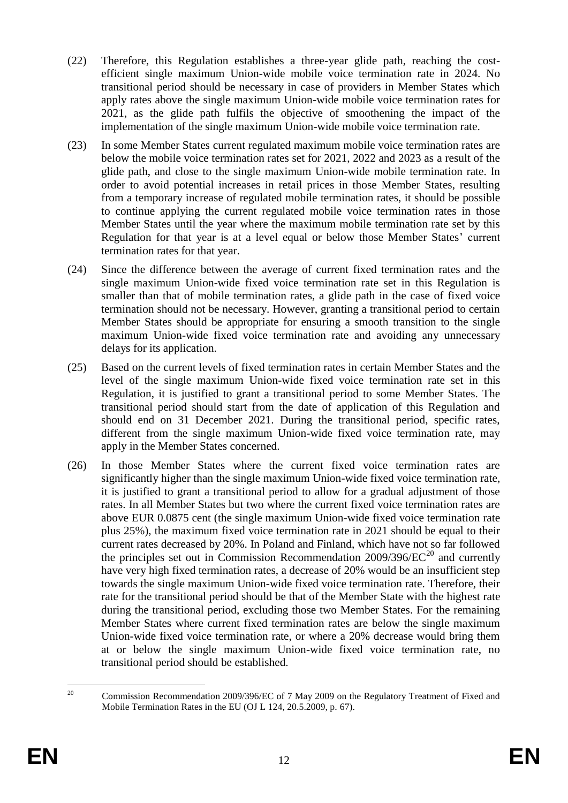- (22) Therefore, this Regulation establishes a three-year glide path, reaching the costefficient single maximum Union-wide mobile voice termination rate in 2024. No transitional period should be necessary in case of providers in Member States which apply rates above the single maximum Union-wide mobile voice termination rates for 2021, as the glide path fulfils the objective of smoothening the impact of the implementation of the single maximum Union-wide mobile voice termination rate.
- (23) In some Member States current regulated maximum mobile voice termination rates are below the mobile voice termination rates set for 2021, 2022 and 2023 as a result of the glide path, and close to the single maximum Union-wide mobile termination rate. In order to avoid potential increases in retail prices in those Member States, resulting from a temporary increase of regulated mobile termination rates, it should be possible to continue applying the current regulated mobile voice termination rates in those Member States until the year where the maximum mobile termination rate set by this Regulation for that year is at a level equal or below those Member States' current termination rates for that year.
- (24) Since the difference between the average of current fixed termination rates and the single maximum Union-wide fixed voice termination rate set in this Regulation is smaller than that of mobile termination rates, a glide path in the case of fixed voice termination should not be necessary. However, granting a transitional period to certain Member States should be appropriate for ensuring a smooth transition to the single maximum Union-wide fixed voice termination rate and avoiding any unnecessary delays for its application.
- (25) Based on the current levels of fixed termination rates in certain Member States and the level of the single maximum Union-wide fixed voice termination rate set in this Regulation, it is justified to grant a transitional period to some Member States. The transitional period should start from the date of application of this Regulation and should end on 31 December 2021. During the transitional period, specific rates, different from the single maximum Union-wide fixed voice termination rate, may apply in the Member States concerned.
- (26) In those Member States where the current fixed voice termination rates are significantly higher than the single maximum Union-wide fixed voice termination rate, it is justified to grant a transitional period to allow for a gradual adjustment of those rates. In all Member States but two where the current fixed voice termination rates are above EUR 0.0875 cent (the single maximum Union-wide fixed voice termination rate plus 25%), the maximum fixed voice termination rate in 2021 should be equal to their current rates decreased by 20%. In Poland and Finland, which have not so far followed the principles set out in Commission Recommendation  $2009/396/EC^{20}$  and currently have very high fixed termination rates, a decrease of 20% would be an insufficient step towards the single maximum Union-wide fixed voice termination rate. Therefore, their rate for the transitional period should be that of the Member State with the highest rate during the transitional period, excluding those two Member States. For the remaining Member States where current fixed termination rates are below the single maximum Union-wide fixed voice termination rate, or where a 20% decrease would bring them at or below the single maximum Union-wide fixed voice termination rate, no transitional period should be established.

<sup>20</sup> <sup>20</sup> Commission Recommendation 2009/396/EC of 7 May 2009 on the Regulatory Treatment of Fixed and Mobile Termination Rates in the EU (OJ L 124, 20.5.2009, p. 67).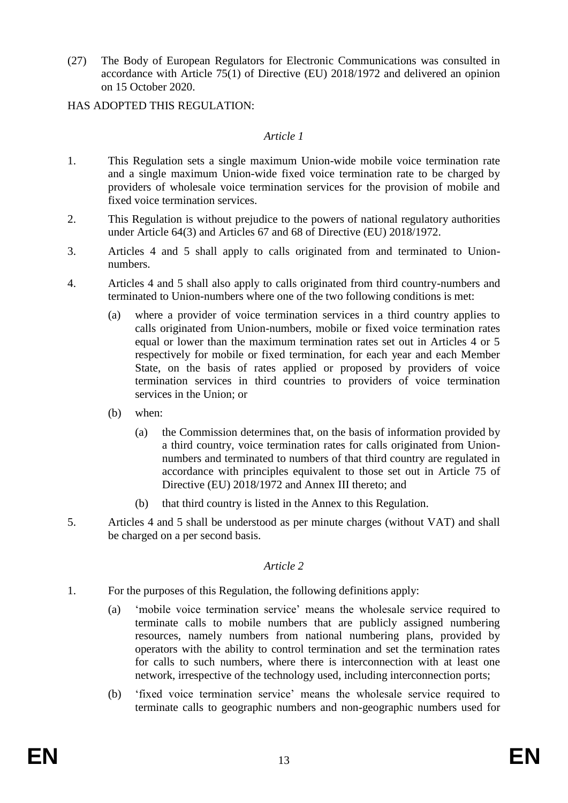(27) The Body of European Regulators for Electronic Communications was consulted in accordance with Article 75(1) of Directive (EU) 2018/1972 and delivered an opinion on 15 October 2020.

#### HAS ADOPTED THIS REGULATION:

#### *Article 1*

- 1. This Regulation sets a single maximum Union-wide mobile voice termination rate and a single maximum Union-wide fixed voice termination rate to be charged by providers of wholesale voice termination services for the provision of mobile and fixed voice termination services.
- 2. This Regulation is without prejudice to the powers of national regulatory authorities under Article 64(3) and Articles 67 and 68 of Directive (EU) 2018/1972.
- 3. Articles 4 and 5 shall apply to calls originated from and terminated to Unionnumbers.
- 4. Articles 4 and 5 shall also apply to calls originated from third country-numbers and terminated to Union-numbers where one of the two following conditions is met:
	- (a) where a provider of voice termination services in a third country applies to calls originated from Union-numbers, mobile or fixed voice termination rates equal or lower than the maximum termination rates set out in Articles 4 or 5 respectively for mobile or fixed termination, for each year and each Member State, on the basis of rates applied or proposed by providers of voice termination services in third countries to providers of voice termination services in the Union; or
	- (b) when:
		- (a) the Commission determines that, on the basis of information provided by a third country, voice termination rates for calls originated from Unionnumbers and terminated to numbers of that third country are regulated in accordance with principles equivalent to those set out in Article 75 of Directive (EU) 2018/1972 and Annex III thereto; and
		- (b) that third country is listed in the Annex to this Regulation.
- 5. Articles 4 and 5 shall be understood as per minute charges (without VAT) and shall be charged on a per second basis.

#### *Article 2*

- 1. For the purposes of this Regulation, the following definitions apply:
	- (a) 'mobile voice termination service' means the wholesale service required to terminate calls to mobile numbers that are publicly assigned numbering resources, namely numbers from national numbering plans, provided by operators with the ability to control termination and set the termination rates for calls to such numbers, where there is interconnection with at least one network, irrespective of the technology used, including interconnection ports;
	- (b) 'fixed voice termination service' means the wholesale service required to terminate calls to geographic numbers and non-geographic numbers used for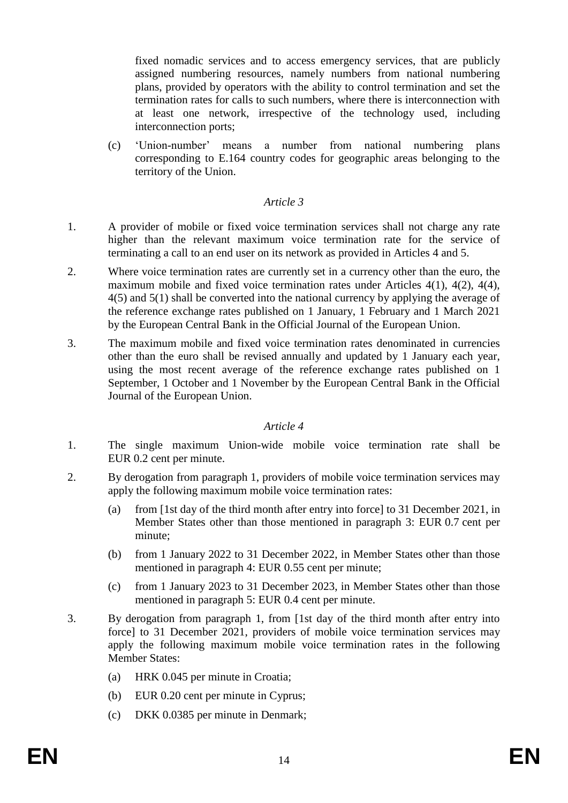fixed nomadic services and to access emergency services, that are publicly assigned numbering resources, namely numbers from national numbering plans, provided by operators with the ability to control termination and set the termination rates for calls to such numbers, where there is interconnection with at least one network, irrespective of the technology used, including interconnection ports;

(c) 'Union-number' means a number from national numbering plans corresponding to E.164 country codes for geographic areas belonging to the territory of the Union.

#### *Article 3*

- 1. A provider of mobile or fixed voice termination services shall not charge any rate higher than the relevant maximum voice termination rate for the service of terminating a call to an end user on its network as provided in Articles 4 and 5.
- 2. Where voice termination rates are currently set in a currency other than the euro, the maximum mobile and fixed voice termination rates under Articles 4(1), 4(2), 4(4), 4(5) and 5(1) shall be converted into the national currency by applying the average of the reference exchange rates published on 1 January, 1 February and 1 March 2021 by the European Central Bank in the Official Journal of the European Union.
- 3. The maximum mobile and fixed voice termination rates denominated in currencies other than the euro shall be revised annually and updated by 1 January each year, using the most recent average of the reference exchange rates published on 1 September, 1 October and 1 November by the European Central Bank in the Official Journal of the European Union.

#### *Article 4*

- 1. The single maximum Union-wide mobile voice termination rate shall be EUR 0.2 cent per minute.
- 2. By derogation from paragraph 1, providers of mobile voice termination services may apply the following maximum mobile voice termination rates:
	- (a) from [1st day of the third month after entry into force] to 31 December 2021, in Member States other than those mentioned in paragraph 3: EUR 0.7 cent per minute;
	- (b) from 1 January 2022 to 31 December 2022, in Member States other than those mentioned in paragraph 4: EUR 0.55 cent per minute;
	- (c) from 1 January 2023 to 31 December 2023, in Member States other than those mentioned in paragraph 5: EUR 0.4 cent per minute.
- 3. By derogation from paragraph 1, from [1st day of the third month after entry into force] to 31 December 2021, providers of mobile voice termination services may apply the following maximum mobile voice termination rates in the following Member States:
	- (a) HRK 0.045 per minute in Croatia;
	- (b) EUR 0.20 cent per minute in Cyprus;
	- (c) DKK 0.0385 per minute in Denmark;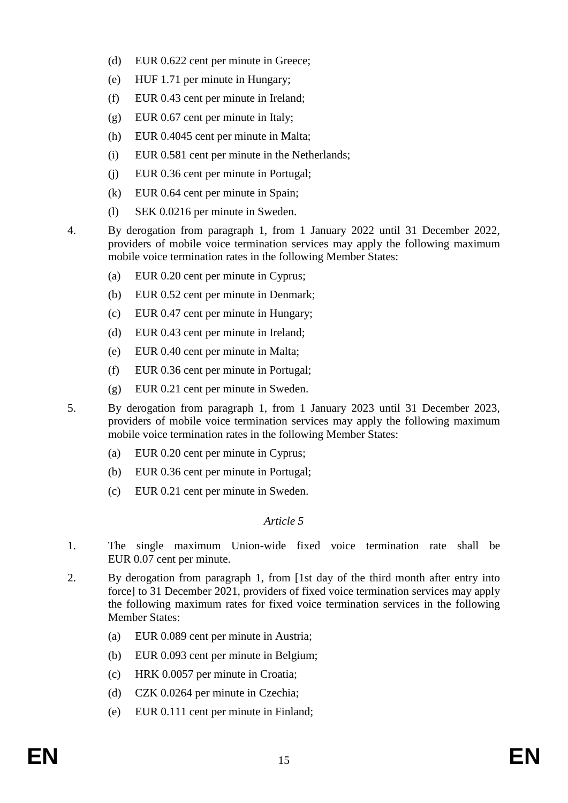- (d) EUR 0.622 cent per minute in Greece;
- (e) HUF 1.71 per minute in Hungary;
- (f) EUR 0.43 cent per minute in Ireland;
- (g) EUR 0.67 cent per minute in Italy;
- (h) EUR 0.4045 cent per minute in Malta;
- (i) EUR 0.581 cent per minute in the Netherlands;
- (j) EUR 0.36 cent per minute in Portugal;
- (k) EUR 0.64 cent per minute in Spain;
- (l) SEK 0.0216 per minute in Sweden.
- 4. By derogation from paragraph 1, from 1 January 2022 until 31 December 2022, providers of mobile voice termination services may apply the following maximum mobile voice termination rates in the following Member States:
	- (a) EUR 0.20 cent per minute in Cyprus;
	- (b) EUR 0.52 cent per minute in Denmark;
	- (c) EUR 0.47 cent per minute in Hungary;
	- (d) EUR 0.43 cent per minute in Ireland;
	- (e) EUR 0.40 cent per minute in Malta;
	- (f) EUR 0.36 cent per minute in Portugal;
	- (g) EUR 0.21 cent per minute in Sweden.
- 5. By derogation from paragraph 1, from 1 January 2023 until 31 December 2023, providers of mobile voice termination services may apply the following maximum mobile voice termination rates in the following Member States:
	- (a) EUR 0.20 cent per minute in Cyprus;
	- (b) EUR 0.36 cent per minute in Portugal;
	- (c) EUR 0.21 cent per minute in Sweden.

#### *Article 5*

- 1. The single maximum Union-wide fixed voice termination rate shall be EUR 0.07 cent per minute.
- 2. By derogation from paragraph 1, from [1st day of the third month after entry into force] to 31 December 2021, providers of fixed voice termination services may apply the following maximum rates for fixed voice termination services in the following Member States:
	- (a) EUR 0.089 cent per minute in Austria;
	- (b) EUR 0.093 cent per minute in Belgium;
	- (c) HRK 0.0057 per minute in Croatia;
	- (d) CZK 0.0264 per minute in Czechia;
	- (e) EUR 0.111 cent per minute in Finland;